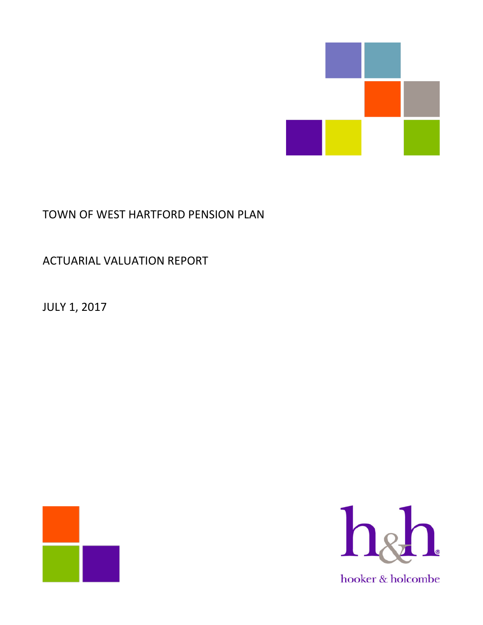

# TOWN OF WEST HARTFORD PENSION PLAN

# ACTUARIAL VALUATION REPORT

JULY 1, 2017



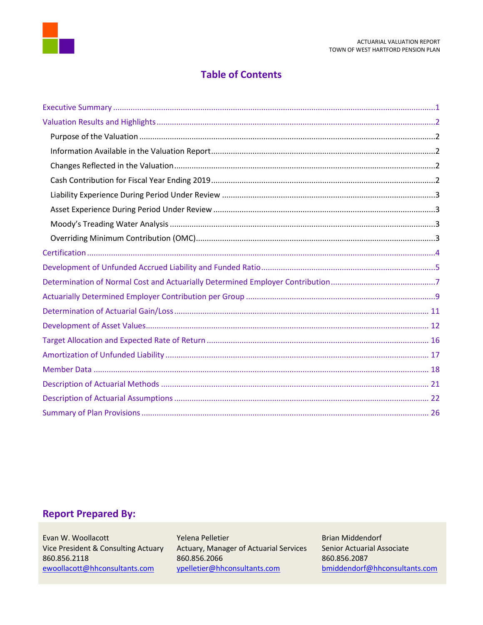

# **Table of Contents**

# **Report Prepared By:**

Evan W. Woollacott Vice President & Consulting Actuary 860.856.2118 ewoollacott@hhconsultants.com

Yelena Pelletier Actuary, Manager of Actuarial Services 860.856.2066 ypelletier@hhconsultants.com

**Brian Middendorf** Senior Actuarial Associate 860.856.2087 bmiddendorf@hhconsultants.com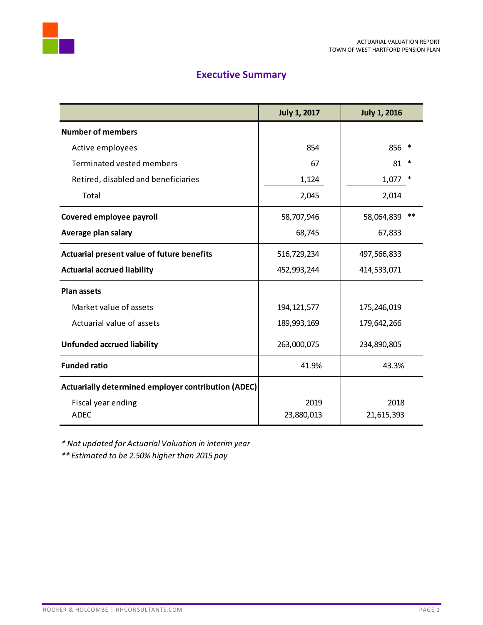



# **Executive Summary**

<span id="page-2-0"></span>

|                                                     | <b>July 1, 2017</b> | <b>July 1, 2016</b> |
|-----------------------------------------------------|---------------------|---------------------|
| <b>Number of members</b>                            |                     |                     |
| Active employees                                    | 854                 | 856 *               |
| Terminated vested members                           | 67                  | 81<br>*             |
| Retired, disabled and beneficiaries                 | 1,124               | 1,077               |
| Total                                               | 2,045               | 2,014               |
| Covered employee payroll                            | 58,707,946          | **<br>58,064,839    |
| Average plan salary                                 | 68,745              | 67,833              |
| Actuarial present value of future benefits          | 516,729,234         | 497,566,833         |
| <b>Actuarial accrued liability</b>                  | 452,993,244         | 414,533,071         |
| <b>Plan assets</b>                                  |                     |                     |
| Market value of assets                              | 194, 121, 577       | 175,246,019         |
| Actuarial value of assets                           | 189,993,169         | 179,642,266         |
| <b>Unfunded accrued liability</b>                   | 263,000,075         | 234,890,805         |
| <b>Funded ratio</b>                                 | 41.9%               | 43.3%               |
| Actuarially determined employer contribution (ADEC) |                     |                     |
| Fiscal year ending<br><b>ADEC</b>                   | 2019<br>23,880,013  | 2018<br>21,615,393  |

*\* Not updated for Actuarial Valuation in interim year*

*\*\* Estimated to be 2.50% higher than 2015 pay*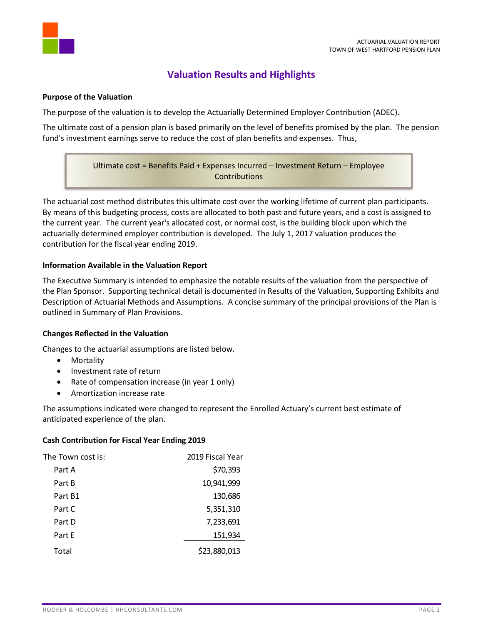

# **Valuation Results and Highlights**

#### <span id="page-3-1"></span><span id="page-3-0"></span>**Purpose of the Valuation**

The purpose of the valuation is to develop the Actuarially Determined Employer Contribution (ADEC).

The ultimate cost of a pension plan is based primarily on the level of benefits promised by the plan. The pension fund's investment earnings serve to reduce the cost of plan benefits and expenses. Thus,

> Ultimate cost = Benefits Paid + Expenses Incurred – Investment Return – Employee **Contributions**

The actuarial cost method distributes this ultimate cost over the working lifetime of current plan participants. By means of this budgeting process, costs are allocated to both past and future years, and a cost is assigned to the current year. The current year's allocated cost, or normal cost, is the building block upon which the actuarially determined employer contribution is developed. The July 1, 2017 valuation produces the contribution for the fiscal year ending 2019.

# <span id="page-3-2"></span>**Information Available in the Valuation Report**

The Executive Summary is intended to emphasize the notable results of the valuation from the perspective of the Plan Sponsor. Supporting technical detail is documented in Results of the Valuation, Supporting Exhibits and Description of Actuarial Methods and Assumptions. A concise summary of the principal provisions of the Plan is outlined in Summary of Plan Provisions.

# <span id="page-3-3"></span>**Changes Reflected in the Valuation**

Changes to the actuarial assumptions are listed below.

- Mortality
- Investment rate of return
- Rate of compensation increase (in year 1 only)
- Amortization increase rate

The assumptions indicated were changed to represent the Enrolled Actuary's current best estimate of anticipated experience of the plan.

#### <span id="page-3-4"></span>**Cash Contribution for Fiscal Year Ending 2019**

| The Town cost is: | 2019 Fiscal Year |
|-------------------|------------------|
| Part A            | \$70,393         |
| Part B            | 10,941,999       |
| Part B1           | 130,686          |
| Part C            | 5,351,310        |
| Part D            | 7,233,691        |
| Part E            | 151,934          |
| Total             | \$23,880,013     |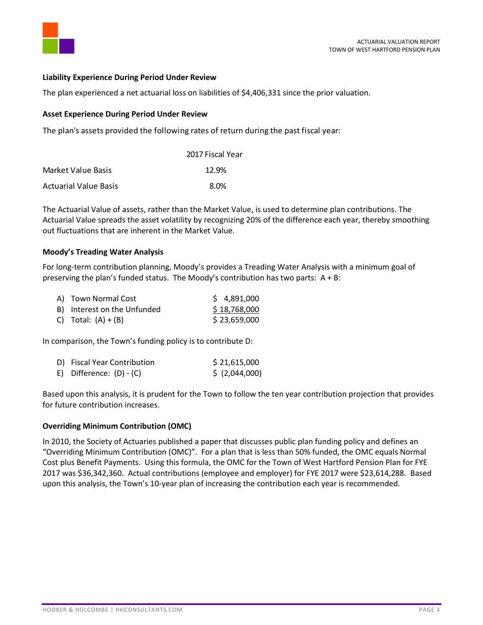

#### <span id="page-4-0"></span>**Liability Experience During Period Under Review**

The plan experienced a net actuarial loss on liabilities of \$4,406,331 since the prior valuation.

#### <span id="page-4-1"></span>**Asset Experience During Period Under Review**

The plan's assets provided the following rates of return during the past fiscal year:

|                              | 2017 Fiscal Year |
|------------------------------|------------------|
| Market Value Basis           | 12.9%            |
| <b>Actuarial Value Basis</b> | 8.0%             |

The Actuarial Value of assets, rather than the Market Value, is used to determine plan contributions. The Actuarial Value spreads the asset volatility by recognizing 20% of the difference each year, thereby smoothing out fluctuations that are inherent in the Market Value.

#### <span id="page-4-2"></span>**Moody's Treading Water Analysis**

For long-term contribution planning, Moody's provides a Treading Water Analysis with a minimum goal of preserving the plan's funded status. The Moody's contribution has two parts:  $A + B$ :

| A) Town Normal Cost         | \$4,891,000  |
|-----------------------------|--------------|
| B) Interest on the Unfunded | \$18,768,000 |
| C) Total: $(A) + (B)$       | \$23,659,000 |

In comparison, the Town's funding policy is to contribute D:

| D) Fiscal Year Contribution | \$21,615,000   |
|-----------------------------|----------------|
| E) Difference: $(D) - (C)$  | \$ (2,044,000) |

Based upon this analysis, it is prudent for the Town to follow the ten year contribution projection that provides for future contribution increases.

# <span id="page-4-3"></span>**Overriding Minimum Contribution (OMC)**

In 2010, the Society of Actuaries published a paper that discusses public plan funding policy and defines an "Overriding Minimum Contribution (OMC)". For a plan that is less than 50% funded, the OMC equals Normal Cost plus Benefit Payments. Using this formula, the OMC for the Town of West Hartford Pension Plan for FYE 2017 was \$36,342,360. Actual contributions (employee and employer) for FYE 2017 were \$23,614,288. Based upon this analysis, the Town's 10-year plan of increasing the contribution each year is recommended.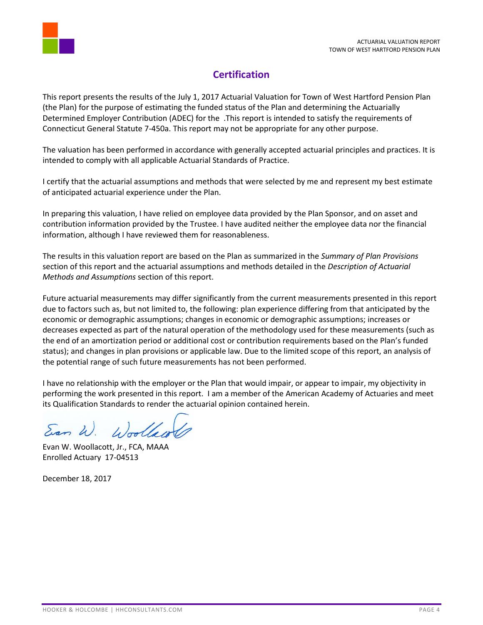

# **Certification**

<span id="page-5-0"></span>This report presents the results of the July 1, 2017 Actuarial Valuation for Town of West Hartford Pension Plan (the Plan) for the purpose of estimating the funded status of the Plan and determining the Actuarially Determined Employer Contribution (ADEC) for the .This report is intended to satisfy the requirements of Connecticut General Statute 7-450a. This report may not be appropriate for any other purpose.

The valuation has been performed in accordance with generally accepted actuarial principles and practices. It is intended to comply with all applicable Actuarial Standards of Practice.

I certify that the actuarial assumptions and methods that were selected by me and represent my best estimate of anticipated actuarial experience under the Plan.

In preparing this valuation, I have relied on employee data provided by the Plan Sponsor, and on asset and contribution information provided by the Trustee. I have audited neither the employee data nor the financial information, although I have reviewed them for reasonableness.

The results in this valuation report are based on the Plan as summarized in the *Summary of Plan Provisions* section of this report and the actuarial assumptions and methods detailed in the *Description of Actuarial Methods and Assumptions* section of this report.

Future actuarial measurements may differ significantly from the current measurements presented in this report due to factors such as, but not limited to, the following: plan experience differing from that anticipated by the economic or demographic assumptions; changes in economic or demographic assumptions; increases or decreases expected as part of the natural operation of the methodology used for these measurements (such as the end of an amortization period or additional cost or contribution requirements based on the Plan's funded status); and changes in plan provisions or applicable law. Due to the limited scope of this report, an analysis of the potential range of such future measurements has not been performed.

I have no relationship with the employer or the Plan that would impair, or appear to impair, my objectivity in performing the work presented in this report. I am a member of the American Academy of Actuaries and meet its Qualification Standards to render the actuarial opinion contained herein.

Woollaw Eran W.

Evan W. Woollacott, Jr., FCA, MAAA Enrolled Actuary 17-04513

December 18, 2017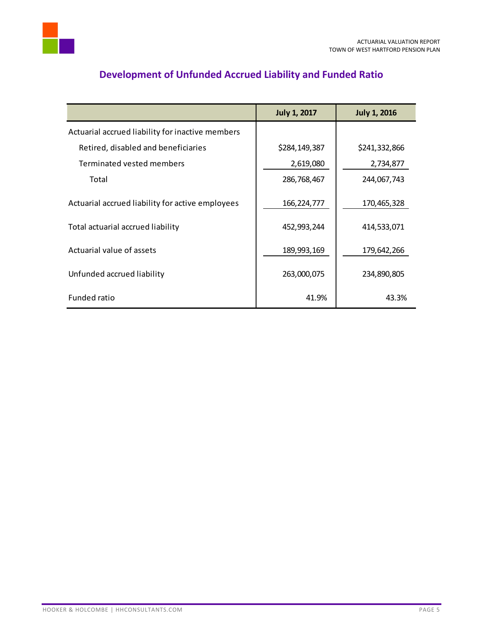

<span id="page-6-0"></span>

|                                                  | <b>July 1, 2017</b> | <b>July 1, 2016</b> |
|--------------------------------------------------|---------------------|---------------------|
| Actuarial accrued liability for inactive members |                     |                     |
| Retired, disabled and beneficiaries              | \$284,149,387       | \$241,332,866       |
| Terminated vested members                        | 2,619,080           | 2,734,877           |
| Total                                            | 286,768,467         | 244,067,743         |
| Actuarial accrued liability for active employees | 166, 224, 777       | 170,465,328         |
| Total actuarial accrued liability                | 452,993,244         | 414,533,071         |
| Actuarial value of assets                        | 189,993,169         | 179,642,266         |
| Unfunded accrued liability                       | 263,000,075         | 234,890,805         |
| Funded ratio                                     | 41.9%               | 43.3%               |

# **Development of Unfunded Accrued Liability and Funded Ratio**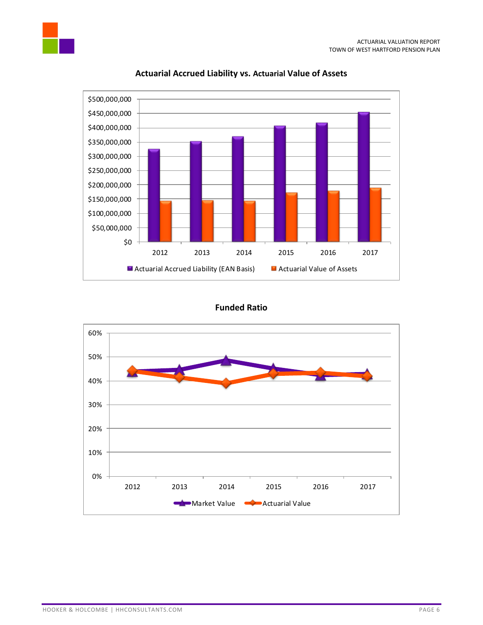

# **Actuarial Accrued Liability vs. Actuarial Value of Assets**

# **Funded Ratio**

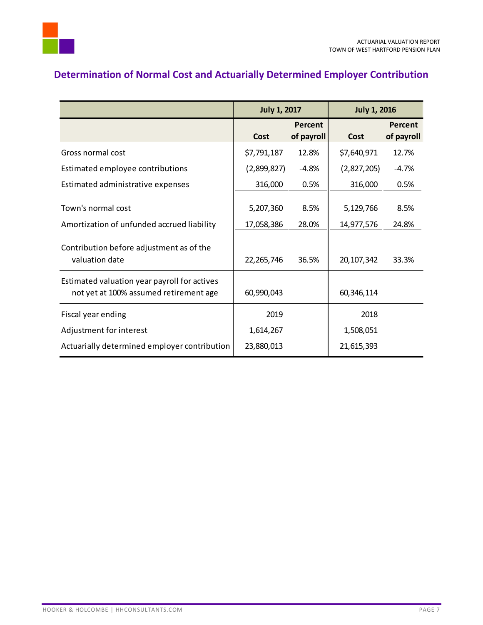

# <span id="page-8-0"></span>**Determination of Normal Cost and Actuarially Determined Employer Contribution**

|                                                                                        | <b>July 1, 2017</b> |                       | <b>July 1, 2016</b> |                       |
|----------------------------------------------------------------------------------------|---------------------|-----------------------|---------------------|-----------------------|
|                                                                                        | Cost                | Percent<br>of payroll | Cost                | Percent<br>of payroll |
| Gross normal cost                                                                      | \$7,791,187         | 12.8%                 | \$7,640,971         | 12.7%                 |
| Estimated employee contributions                                                       | (2,899,827)         | $-4.8%$               | (2,827,205)         | $-4.7%$               |
| Estimated administrative expenses                                                      | 316,000             | 0.5%                  | 316,000             | 0.5%                  |
| Town's normal cost                                                                     | 5,207,360           | 8.5%<br>28.0%         | 5,129,766           | 8.5%                  |
| Amortization of unfunded accrued liability                                             | 17,058,386          |                       | 14,977,576          | 24.8%                 |
| Contribution before adjustment as of the<br>valuation date                             | 22, 265, 746        | 36.5%                 | 20, 107, 342        | 33.3%                 |
| Estimated valuation year payroll for actives<br>not yet at 100% assumed retirement age | 60,990,043          |                       | 60,346,114          |                       |
| Fiscal year ending                                                                     | 2019                |                       | 2018                |                       |
| Adjustment for interest                                                                | 1,614,267           |                       | 1,508,051           |                       |
| Actuarially determined employer contribution                                           | 23,880,013          |                       | 21,615,393          |                       |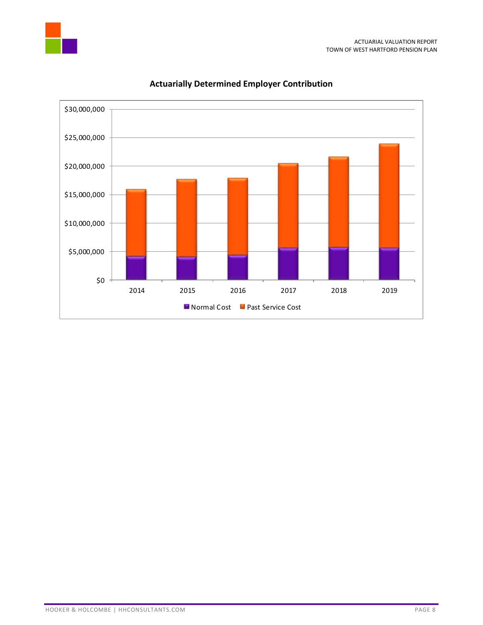



# **Actuarially Determined Employer Contribution**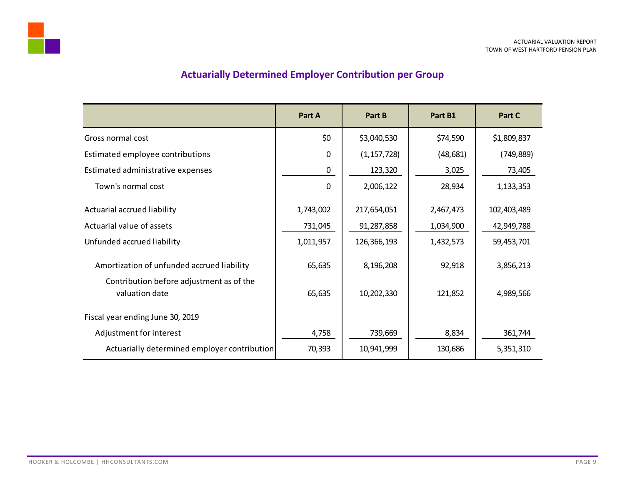# **Actuarially Determined Employer Contribution per Group**

<span id="page-10-0"></span>

|                                                            | Part A      | Part B        | Part B1   | Part C      |
|------------------------------------------------------------|-------------|---------------|-----------|-------------|
| Gross normal cost                                          | \$0         | \$3,040,530   | \$74,590  | \$1,809,837 |
| Estimated employee contributions                           | $\Omega$    | (1, 157, 728) | (48, 681) | (749, 889)  |
| Estimated administrative expenses                          | 0           | 123,320       | 3,025     | 73,405      |
| Town's normal cost                                         | $\mathbf 0$ | 2,006,122     | 28,934    | 1,133,353   |
| Actuarial accrued liability                                | 1,743,002   | 217,654,051   | 2,467,473 | 102,403,489 |
| Actuarial value of assets                                  | 731,045     | 91,287,858    | 1,034,900 | 42,949,788  |
| Unfunded accrued liability                                 | 1,011,957   | 126,366,193   | 1,432,573 | 59,453,701  |
| Amortization of unfunded accrued liability                 | 65,635      | 8,196,208     | 92,918    | 3,856,213   |
| Contribution before adjustment as of the<br>valuation date | 65,635      | 10,202,330    | 121,852   | 4,989,566   |
| Fiscal year ending June 30, 2019                           |             |               |           |             |
| Adjustment for interest                                    | 4,758       | 739,669       | 8,834     | 361,744     |
| Actuarially determined employer contribution               | 70,393      | 10,941,999    | 130,686   | 5,351,310   |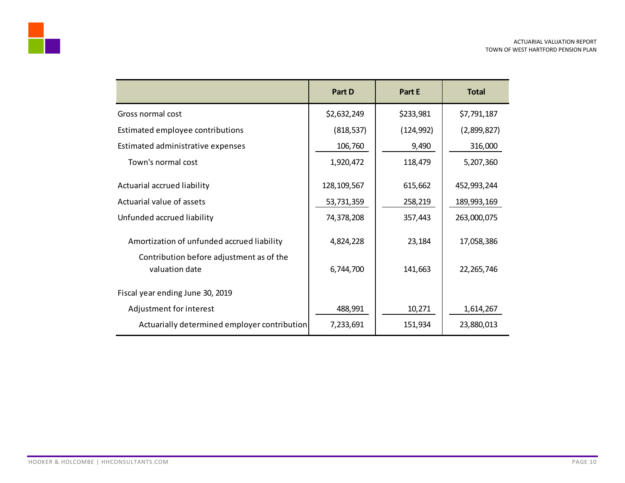

|                                                            | Part D        | Part E     | <b>Total</b> |
|------------------------------------------------------------|---------------|------------|--------------|
| Gross normal cost                                          | \$2,632,249   | \$233,981  | \$7,791,187  |
| Estimated employee contributions                           | (818, 537)    | (124, 992) | (2,899,827)  |
| Estimated administrative expenses                          | 106,760       | 9,490      | 316,000      |
| Town's normal cost                                         | 1,920,472     | 118,479    | 5,207,360    |
| Actuarial accrued liability                                | 128, 109, 567 | 615,662    | 452,993,244  |
| Actuarial value of assets                                  | 53,731,359    | 258,219    | 189,993,169  |
| Unfunded accrued liability                                 | 74,378,208    | 357,443    | 263,000,075  |
| Amortization of unfunded accrued liability                 | 4,824,228     | 23,184     | 17,058,386   |
| Contribution before adjustment as of the<br>valuation date | 6,744,700     | 141,663    | 22, 265, 746 |
| Fiscal year ending June 30, 2019                           |               |            |              |
| Adjustment for interest                                    | 488,991       | 10,271     | 1,614,267    |
| Actuarially determined employer contribution               | 7,233,691     | 151,934    | 23,880,013   |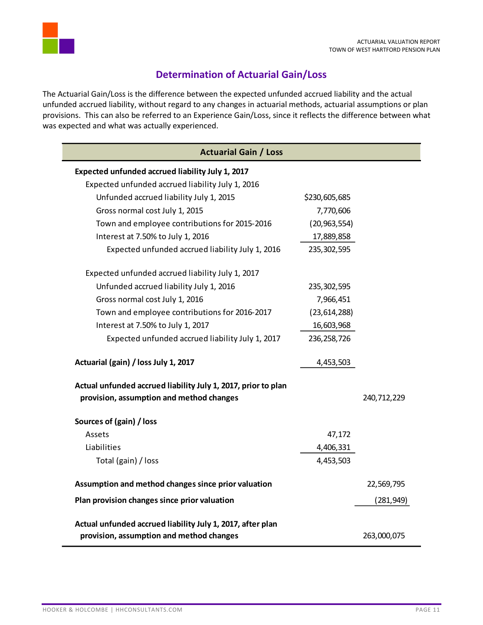

# **Determination of Actuarial Gain/Loss**

<span id="page-12-0"></span>The Actuarial Gain/Loss is the difference between the expected unfunded accrued liability and the actual unfunded accrued liability, without regard to any changes in actuarial methods, actuarial assumptions or plan provisions. This can also be referred to an Experience Gain/Loss, since it reflects the difference between what was expected and what was actually experienced.

| <b>Actuarial Gain / Loss</b>                                                                              |                |             |
|-----------------------------------------------------------------------------------------------------------|----------------|-------------|
| Expected unfunded accrued liability July 1, 2017                                                          |                |             |
| Expected unfunded accrued liability July 1, 2016                                                          |                |             |
| Unfunded accrued liability July 1, 2015                                                                   | \$230,605,685  |             |
| Gross normal cost July 1, 2015                                                                            | 7,770,606      |             |
| Town and employee contributions for 2015-2016                                                             | (20, 963, 554) |             |
| Interest at 7.50% to July 1, 2016                                                                         | 17,889,858     |             |
| Expected unfunded accrued liability July 1, 2016                                                          | 235, 302, 595  |             |
| Expected unfunded accrued liability July 1, 2017                                                          |                |             |
| Unfunded accrued liability July 1, 2016                                                                   | 235, 302, 595  |             |
| Gross normal cost July 1, 2016                                                                            | 7,966,451      |             |
| Town and employee contributions for 2016-2017                                                             | (23, 614, 288) |             |
| Interest at 7.50% to July 1, 2017                                                                         | 16,603,968     |             |
| Expected unfunded accrued liability July 1, 2017                                                          | 236, 258, 726  |             |
| Actuarial (gain) / loss July 1, 2017                                                                      | 4,453,503      |             |
| Actual unfunded accrued liability July 1, 2017, prior to plan<br>provision, assumption and method changes |                | 240,712,229 |
| Sources of (gain) / loss                                                                                  |                |             |
| Assets                                                                                                    | 47,172         |             |
| Liabilities                                                                                               | 4,406,331      |             |
| Total (gain) / loss                                                                                       | 4,453,503      |             |
| Assumption and method changes since prior valuation                                                       |                | 22,569,795  |
| Plan provision changes since prior valuation                                                              |                | (281, 949)  |
| Actual unfunded accrued liability July 1, 2017, after plan                                                |                |             |
| provision, assumption and method changes                                                                  |                | 263,000,075 |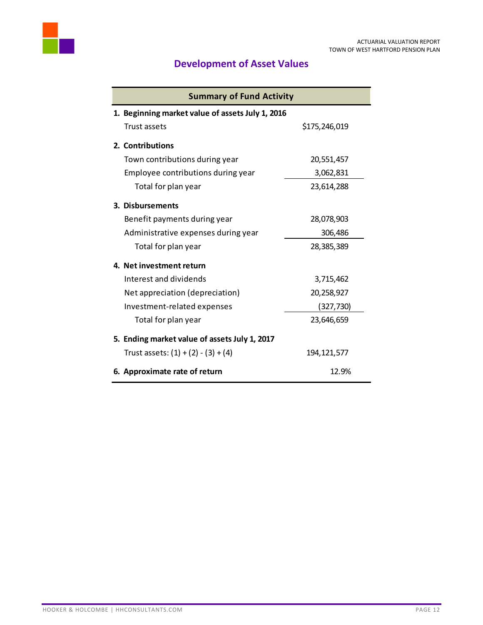<span id="page-13-0"></span>

# **Development of Asset Values**

| <b>Summary of Fund Activity</b>                  |               |  |  |
|--------------------------------------------------|---------------|--|--|
| 1. Beginning market value of assets July 1, 2016 |               |  |  |
| Trust assets                                     | \$175,246,019 |  |  |
| 2. Contributions                                 |               |  |  |
| Town contributions during year                   | 20,551,457    |  |  |
| Employee contributions during year               | 3,062,831     |  |  |
| Total for plan year                              | 23,614,288    |  |  |
| 3. Disbursements                                 |               |  |  |
| Benefit payments during year                     | 28,078,903    |  |  |
| Administrative expenses during year              | 306,486       |  |  |
| Total for plan year                              | 28,385,389    |  |  |
| 4. Net investment return                         |               |  |  |
| Interest and dividends                           | 3,715,462     |  |  |
| Net appreciation (depreciation)                  | 20,258,927    |  |  |
| Investment-related expenses                      | (327, 730)    |  |  |
| Total for plan year                              | 23,646,659    |  |  |
| 5. Ending market value of assets July 1, 2017    |               |  |  |
| Trust assets: $(1) + (2) - (3) + (4)$            | 194, 121, 577 |  |  |
| 6. Approximate rate of return                    | 12.9%         |  |  |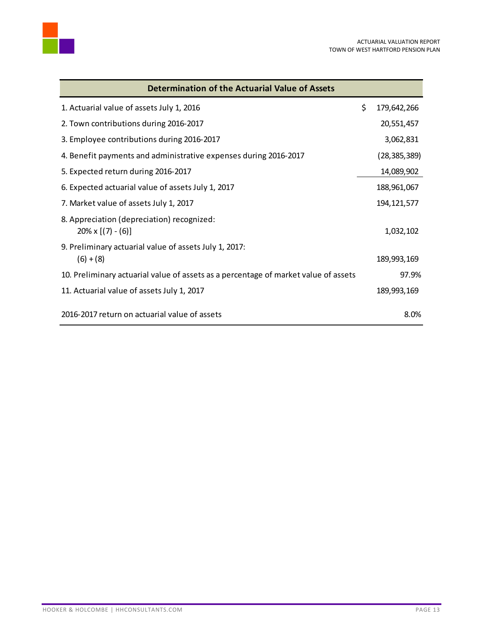

| <b>Determination of the Actuarial Value of Assets</b>                               |                   |
|-------------------------------------------------------------------------------------|-------------------|
| 1. Actuarial value of assets July 1, 2016                                           | \$<br>179,642,266 |
| 2. Town contributions during 2016-2017                                              | 20,551,457        |
| 3. Employee contributions during 2016-2017                                          | 3,062,831         |
| 4. Benefit payments and administrative expenses during 2016-2017                    | (28, 385, 389)    |
| 5. Expected return during 2016-2017                                                 | 14,089,902        |
| 6. Expected actuarial value of assets July 1, 2017                                  | 188,961,067       |
| 7. Market value of assets July 1, 2017                                              | 194, 121, 577     |
| 8. Appreciation (depreciation) recognized:<br>$20\% \times [(7) - (6)]$             | 1,032,102         |
| 9. Preliminary actuarial value of assets July 1, 2017:                              |                   |
| $(6) + (8)$                                                                         | 189,993,169       |
| 10. Preliminary actuarial value of assets as a percentage of market value of assets | 97.9%             |
| 11. Actuarial value of assets July 1, 2017                                          | 189,993,169       |
| 2016-2017 return on actuarial value of assets                                       | 8.0%              |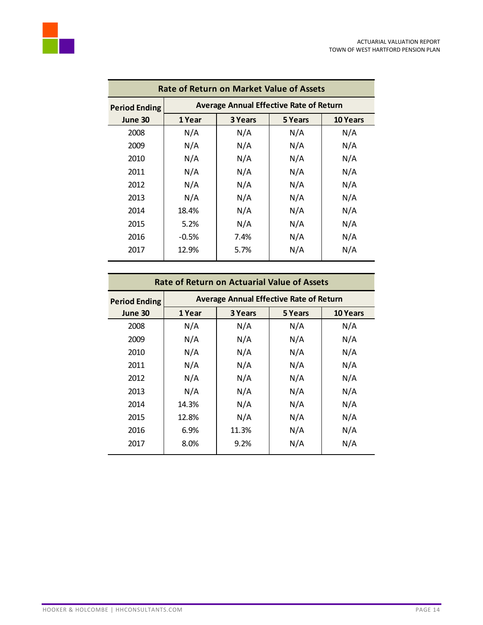

| <b>Rate of Return on Market Value of Assets</b> |         |                                                |         |                 |  |
|-------------------------------------------------|---------|------------------------------------------------|---------|-----------------|--|
| <b>Period Ending</b>                            |         | <b>Average Annual Effective Rate of Return</b> |         |                 |  |
| June 30                                         | 1 Year  | 3 Years                                        | 5 Years | <b>10 Years</b> |  |
| 2008                                            | N/A     | N/A                                            | N/A     | N/A             |  |
| 2009                                            | N/A     | N/A                                            | N/A     | N/A             |  |
| 2010                                            | N/A     | N/A                                            | N/A     | N/A             |  |
| 2011                                            | N/A     | N/A                                            | N/A     | N/A             |  |
| 2012                                            | N/A     | N/A                                            | N/A     | N/A             |  |
| 2013                                            | N/A     | N/A                                            | N/A     | N/A             |  |
| 2014                                            | 18.4%   | N/A                                            | N/A     | N/A             |  |
| 2015                                            | 5.2%    | N/A                                            | N/A     | N/A             |  |
| 2016                                            | $-0.5%$ | 7.4%                                           | N/A     | N/A             |  |
| 2017                                            | 12.9%   | 5.7%                                           | N/A     | N/A             |  |
|                                                 |         |                                                |         |                 |  |

| <b>Rate of Return on Actuarial Value of Assets</b> |        |                                                |         |                 |  |
|----------------------------------------------------|--------|------------------------------------------------|---------|-----------------|--|
| <b>Period Ending</b>                               |        | <b>Average Annual Effective Rate of Return</b> |         |                 |  |
| June 30                                            | 1 Year | 3 Years                                        | 5 Years | <b>10 Years</b> |  |
| 2008                                               | N/A    | N/A                                            | N/A     | N/A             |  |
| 2009                                               | N/A    | N/A                                            | N/A     | N/A             |  |
| 2010                                               | N/A    | N/A                                            | N/A     | N/A             |  |
| 2011                                               | N/A    | N/A                                            | N/A     | N/A             |  |
| 2012                                               | N/A    | N/A                                            | N/A     | N/A             |  |
| 2013                                               | N/A    | N/A                                            | N/A     | N/A             |  |
| 2014                                               | 14.3%  | N/A                                            | N/A     | N/A             |  |
| 2015                                               | 12.8%  | N/A                                            | N/A     | N/A             |  |
| 2016                                               | 6.9%   | 11.3%                                          | N/A     | N/A             |  |
| 2017                                               | 8.0%   | 9.2%                                           | N/A     | N/A             |  |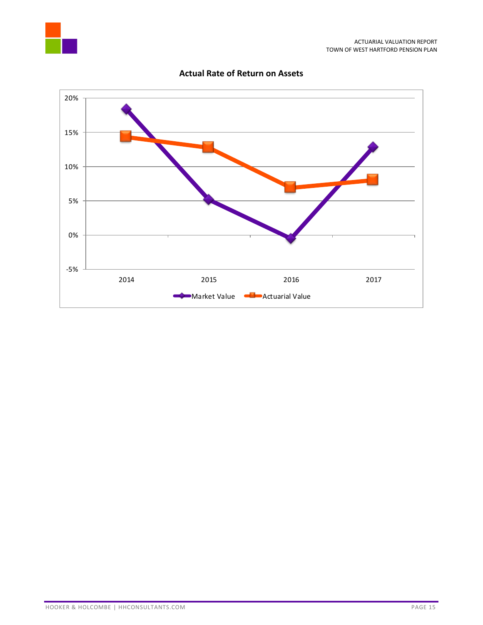



# **Actual Rate of Return on Assets**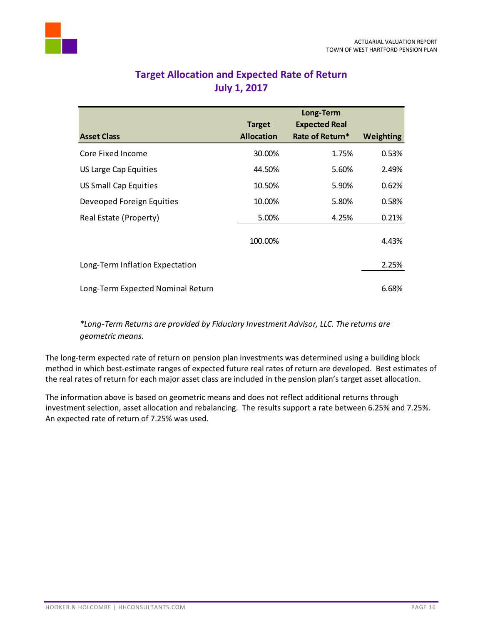<span id="page-17-0"></span>

| <b>Asset Class</b>                | <b>Target</b><br><b>Allocation</b> | Long-Term<br><b>Expected Real</b><br>Rate of Return* | Weighting |
|-----------------------------------|------------------------------------|------------------------------------------------------|-----------|
| Core Fixed Income                 | 30.00%                             | 1.75%                                                | 0.53%     |
| US Large Cap Equities             | 44.50%                             | 5.60%                                                | 2.49%     |
| <b>US Small Cap Equities</b>      | 10.50%                             | 5.90%                                                | 0.62%     |
| Deveoped Foreign Equities         | 10.00%                             | 5.80%                                                | 0.58%     |
| Real Estate (Property)            | 5.00%                              | 4.25%                                                | 0.21%     |
|                                   | 100.00%                            |                                                      | 4.43%     |
| Long-Term Inflation Expectation   |                                    |                                                      | 2.25%     |
| Long-Term Expected Nominal Return |                                    |                                                      | 6.68%     |

# **Target Allocation and Expected Rate of Return July 1, 2017**

# *\*Long-Term Returns are provided by Fiduciary Investment Advisor, LLC. The returns are geometric means.*

The long-term expected rate of return on pension plan investments was determined using a building block method in which best-estimate ranges of expected future real rates of return are developed. Best estimates of the real rates of return for each major asset class are included in the pension plan's target asset allocation.

The information above is based on geometric means and does not reflect additional returns through investment selection, asset allocation and rebalancing. The results support a rate between 6.25% and 7.25%. An expected rate of return of 7.25% was used.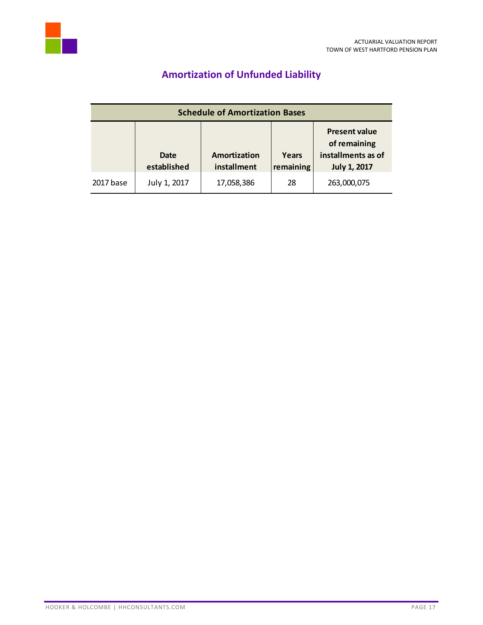<span id="page-18-0"></span>

# **Amortization of Unfunded Liability**

| <b>Schedule of Amortization Bases</b> |                     |                             |                    |                                                                                   |
|---------------------------------------|---------------------|-----------------------------|--------------------|-----------------------------------------------------------------------------------|
|                                       | Date<br>established | Amortization<br>installment | Years<br>remaining | <b>Present value</b><br>of remaining<br>installments as of<br><b>July 1, 2017</b> |
| 2017 base                             | July 1, 2017        | 17,058,386                  | 28                 | 263,000,075                                                                       |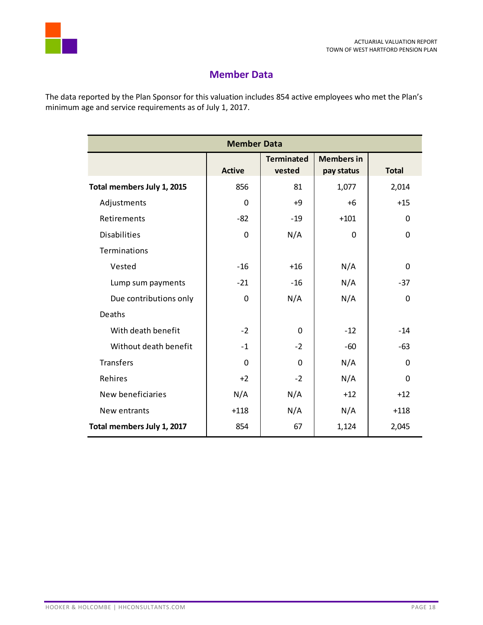

# **Member Data**

<span id="page-19-0"></span>The data reported by the Plan Sponsor for this valuation includes 854 active employees who met the Plan's minimum age and service requirements as of July 1, 2017.

| <b>Member Data</b>         |               |                             |                                 |              |
|----------------------------|---------------|-----------------------------|---------------------------------|--------------|
|                            | <b>Active</b> | <b>Terminated</b><br>vested | <b>Members in</b><br>pay status | <b>Total</b> |
| Total members July 1, 2015 | 856           | 81                          | 1,077                           | 2,014        |
| Adjustments                | $\Omega$      | +9                          | $+6$                            | $+15$        |
| Retirements                | $-82$         | $-19$                       | $+101$                          | 0            |
| <b>Disabilities</b>        | 0             | N/A                         | $\Omega$                        | $\Omega$     |
| Terminations               |               |                             |                                 |              |
| Vested                     | $-16$         | $+16$                       | N/A                             | $\Omega$     |
| Lump sum payments          | $-21$         | $-16$                       | N/A                             | $-37$        |
| Due contributions only     | 0             | N/A                         | N/A                             | $\Omega$     |
| Deaths                     |               |                             |                                 |              |
| With death benefit         | $-2$          | $\Omega$                    | $-12$                           | $-14$        |
| Without death benefit      | $-1$          | $-2$                        | $-60$                           | $-63$        |
| <b>Transfers</b>           | $\Omega$      | $\Omega$                    | N/A                             | 0            |
| Rehires                    | $+2$          | $-2$                        | N/A                             | $\Omega$     |
| New beneficiaries          | N/A           | N/A                         | $+12$                           | $+12$        |
| New entrants               | $+118$        | N/A                         | N/A                             | $+118$       |
| Total members July 1, 2017 | 854           | 67                          | 1,124                           | 2,045        |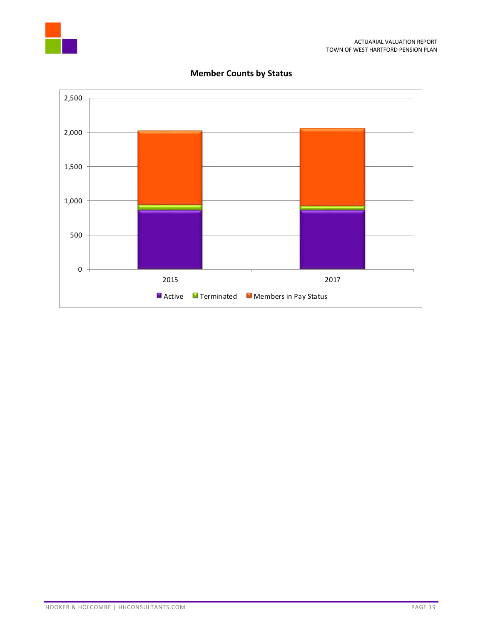



# **Member Counts by Status**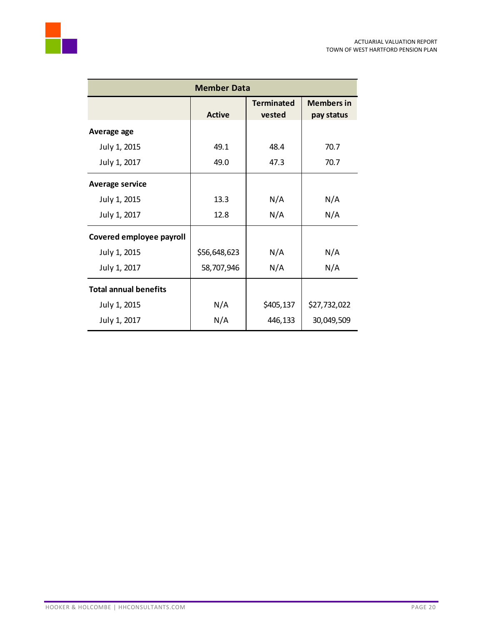

| <b>Member Data</b>           |                                              |           |                                 |
|------------------------------|----------------------------------------------|-----------|---------------------------------|
|                              | <b>Terminated</b><br><b>Active</b><br>vested |           | <b>Members in</b><br>pay status |
| Average age                  |                                              |           |                                 |
| July 1, 2015                 | 49.1                                         | 48.4      | 70.7                            |
| July 1, 2017                 | 49.0                                         | 47.3      | 70.7                            |
| <b>Average service</b>       |                                              |           |                                 |
| July 1, 2015                 | 13.3                                         | N/A       | N/A                             |
| July 1, 2017                 | 12.8                                         | N/A       | N/A                             |
| Covered employee payroll     |                                              |           |                                 |
| July 1, 2015                 | \$56,648,623                                 | N/A       | N/A                             |
| July 1, 2017                 | 58,707,946                                   | N/A       | N/A                             |
| <b>Total annual benefits</b> |                                              |           |                                 |
| July 1, 2015                 | N/A                                          | \$405,137 | \$27,732,022                    |
| July 1, 2017                 | N/A                                          | 446,133   | 30,049,509                      |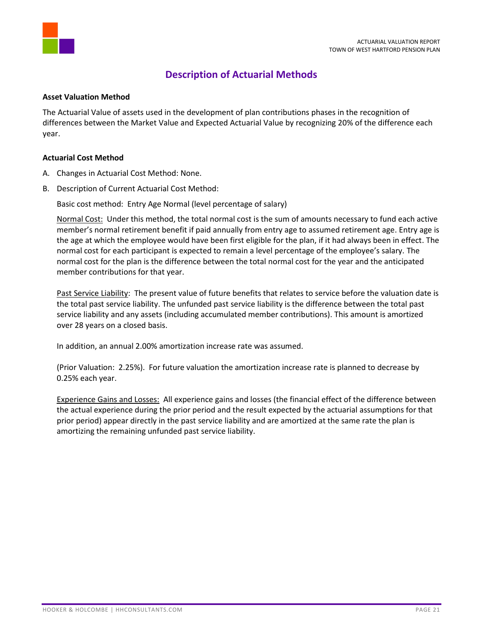

# **Description of Actuarial Methods**

#### <span id="page-22-0"></span>**Asset Valuation Method**

The Actuarial Value of assets used in the development of plan contributions phases in the recognition of differences between the Market Value and Expected Actuarial Value by recognizing 20% of the difference each year.

#### **Actuarial Cost Method**

- A. Changes in Actuarial Cost Method: None.
- B. Description of Current Actuarial Cost Method:

Basic cost method: Entry Age Normal (level percentage of salary)

Normal Cost: Under this method, the total normal cost is the sum of amounts necessary to fund each active member's normal retirement benefit if paid annually from entry age to assumed retirement age. Entry age is the age at which the employee would have been first eligible for the plan, if it had always been in effect. The normal cost for each participant is expected to remain a level percentage of the employee's salary. The normal cost for the plan is the difference between the total normal cost for the year and the anticipated member contributions for that year.

Past Service Liability: The present value of future benefits that relates to service before the valuation date is the total past service liability. The unfunded past service liability is the difference between the total past service liability and any assets (including accumulated member contributions). This amount is amortized over 28 years on a closed basis.

In addition, an annual 2.00% amortization increase rate was assumed.

(Prior Valuation: 2.25%). For future valuation the amortization increase rate is planned to decrease by 0.25% each year.

Experience Gains and Losses: All experience gains and losses (the financial effect of the difference between the actual experience during the prior period and the result expected by the actuarial assumptions for that prior period) appear directly in the past service liability and are amortized at the same rate the plan is amortizing the remaining unfunded past service liability.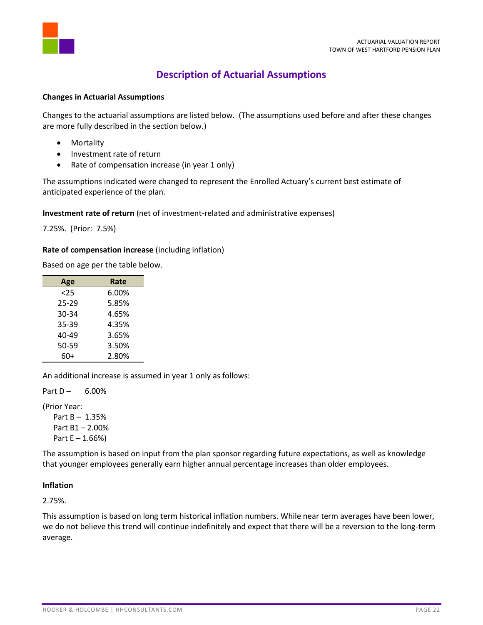



#### <span id="page-23-0"></span>**Changes in Actuarial Assumptions**

Changes to the actuarial assumptions are listed below. (The assumptions used before and after these changes are more fully described in the section below.)

- Mortality
- Investment rate of return
- Rate of compensation increase (in year 1 only)

The assumptions indicated were changed to represent the Enrolled Actuary's current best estimate of anticipated experience of the plan.

#### **Investment rate of return** (net of investment-related and administrative expenses)

7.25%. (Prior: 7.5%)

#### **Rate of compensation increase** (including inflation)

Based on age per the table below.

| Age   | Rate  |
|-------|-------|
| 25    | 6.00% |
| 25-29 | 5.85% |
| 30-34 | 4.65% |
| 35-39 | 4.35% |
| 40-49 | 3.65% |
| 50-59 | 3.50% |
| 60+   | 2.80% |

An additional increase is assumed in year 1 only as follows:

Part  $D - 6.00\%$ 

(Prior Year:

Part B – 1.35% Part B1 – 2.00% Part E – 1.66%)

The assumption is based on input from the plan sponsor regarding future expectations, as well as knowledge that younger employees generally earn higher annual percentage increases than older employees.

#### **Inflation**

2.75%.

This assumption is based on long term historical inflation numbers. While near term averages have been lower, we do not believe this trend will continue indefinitely and expect that there will be a reversion to the long-term average.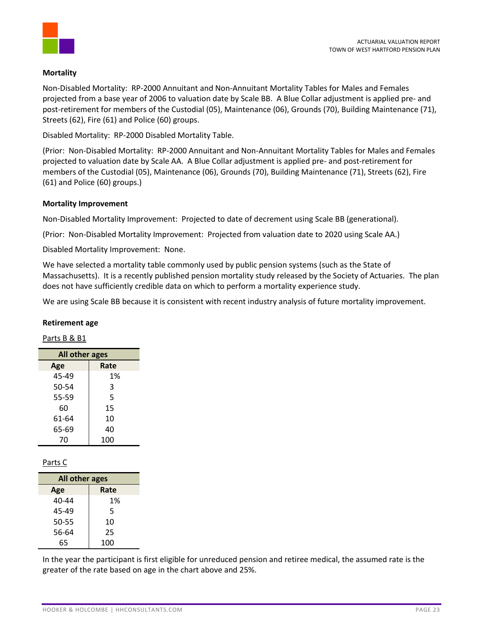#### **Mortality**

Non-Disabled Mortality: RP-2000 Annuitant and Non-Annuitant Mortality Tables for Males and Females projected from a base year of 2006 to valuation date by Scale BB. A Blue Collar adjustment is applied pre- and post-retirement for members of the Custodial (05), Maintenance (06), Grounds (70), Building Maintenance (71), Streets (62), Fire (61) and Police (60) groups.

Disabled Mortality: RP-2000 Disabled Mortality Table.

(Prior: Non-Disabled Mortality: RP-2000 Annuitant and Non-Annuitant Mortality Tables for Males and Females projected to valuation date by Scale AA. A Blue Collar adjustment is applied pre- and post-retirement for members of the Custodial (05), Maintenance (06), Grounds (70), Building Maintenance (71), Streets (62), Fire (61) and Police (60) groups.)

#### **Mortality Improvement**

Non-Disabled Mortality Improvement: Projected to date of decrement using Scale BB (generational).

(Prior: Non-Disabled Mortality Improvement: Projected from valuation date to 2020 using Scale AA.)

Disabled Mortality Improvement: None.

We have selected a mortality table commonly used by public pension systems (such as the State of Massachusetts). It is a recently published pension mortality study released by the Society of Actuaries. The plan does not have sufficiently credible data on which to perform a mortality experience study.

We are using Scale BB because it is consistent with recent industry analysis of future mortality improvement.

#### **Retirement age**

# Parts B & B1

| All other ages |      |  |  |
|----------------|------|--|--|
| Age            | Rate |  |  |
| 45-49          | 1%   |  |  |
| 50-54          | 3    |  |  |
| 55-59          | 5    |  |  |
| 60             | 15   |  |  |
| 61-64          | 10   |  |  |
| 65-69          | 40   |  |  |
| 70             | 100  |  |  |

# Parts C

| All other ages |      |  |  |
|----------------|------|--|--|
| Age            | Rate |  |  |
| 40-44          | 1%   |  |  |
| 45-49          | 5    |  |  |
| 50-55          | 10   |  |  |
| 56-64          | 25   |  |  |
| 65             | 100  |  |  |

In the year the participant is first eligible for unreduced pension and retiree medical, the assumed rate is the greater of the rate based on age in the chart above and 25%.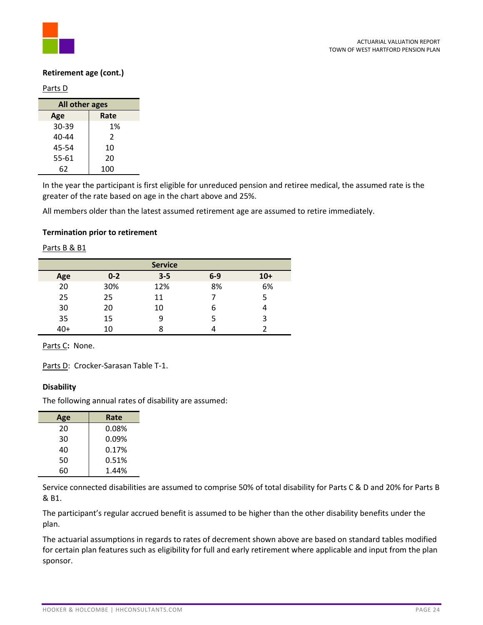

#### **Retirement age (cont.)**

Parts D

| All other ages |               |  |  |
|----------------|---------------|--|--|
| Age            | Rate          |  |  |
| 30-39          | 1%            |  |  |
| 40-44          | $\mathfrak z$ |  |  |
| 45-54          | 10            |  |  |
| 55-61          | 20            |  |  |
| 62             | 100           |  |  |

In the year the participant is first eligible for unreduced pension and retiree medical, the assumed rate is the greater of the rate based on age in the chart above and 25%.

All members older than the latest assumed retirement age are assumed to retire immediately.

#### **Termination prior to retirement**

Parts B & B1

|     |         | <b>Service</b> |       |       |
|-----|---------|----------------|-------|-------|
| Age | $0 - 2$ | $3 - 5$        | $6-9$ | $10+$ |
| 20  | 30%     | 12%            | 8%    | 6%    |
| 25  | 25      | 11             |       |       |
| 30  | 20      | 10             | 6     |       |
| 35  | 15      | 9              |       |       |
| 40+ | 10      | 8              |       |       |

Parts C**:** None.

Parts D: Crocker-Sarasan Table T-1.

#### **Disability**

The following annual rates of disability are assumed:

| Age | Rate     |  |
|-----|----------|--|
| 20  | $0.08\%$ |  |
| 30  | 0.09%    |  |
| 40  | 0.17%    |  |
| 50  | 0.51%    |  |
| 60  | 1.44%    |  |

Service connected disabilities are assumed to comprise 50% of total disability for Parts C & D and 20% for Parts B & B1.

The participant's regular accrued benefit is assumed to be higher than the other disability benefits under the plan.

The actuarial assumptions in regards to rates of decrement shown above are based on standard tables modified for certain plan features such as eligibility for full and early retirement where applicable and input from the plan sponsor.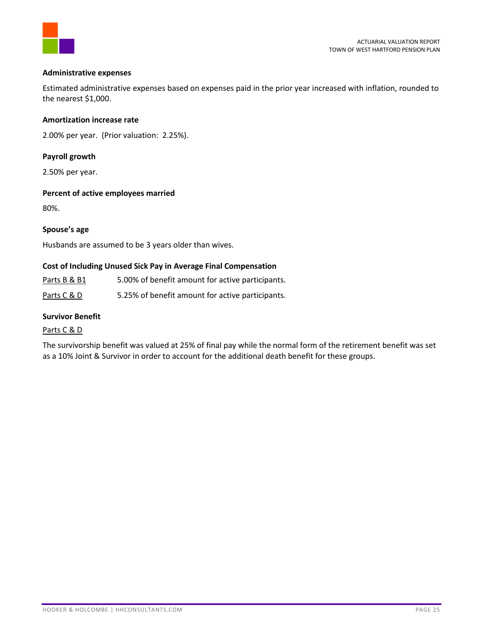

#### **Administrative expenses**

Estimated administrative expenses based on expenses paid in the prior year increased with inflation, rounded to the nearest \$1,000.

#### **Amortization increase rate**

2.00% per year. (Prior valuation: 2.25%).

# **Payroll growth**

2.50% per year.

#### **Percent of active employees married**

80%.

# **Spouse's age**

Husbands are assumed to be 3 years older than wives.

#### **Cost of Including Unused Sick Pay in Average Final Compensation**

Parts B & B1 5.00% of benefit amount for active participants.

Parts C & D 5.25% of benefit amount for active participants.

#### **Survivor Benefit**

# Parts C & D

The survivorship benefit was valued at 25% of final pay while the normal form of the retirement benefit was set as a 10% Joint & Survivor in order to account for the additional death benefit for these groups.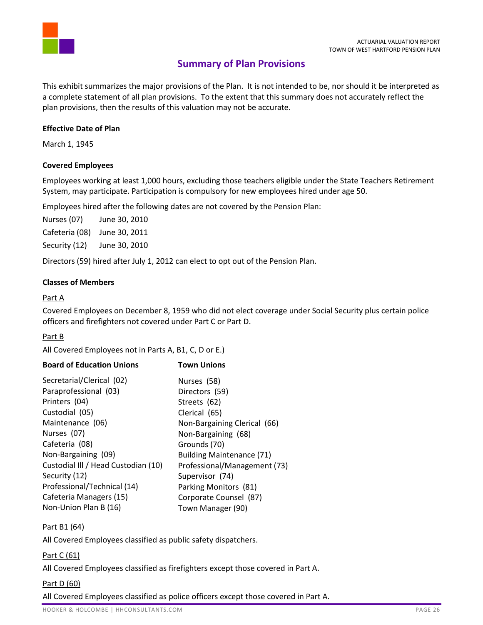

# **Summary of Plan Provisions**

<span id="page-27-0"></span>This exhibit summarizes the major provisions of the Plan. It is not intended to be, nor should it be interpreted as a complete statement of all plan provisions. To the extent that this summary does not accurately reflect the plan provisions, then the results of this valuation may not be accurate.

# **Effective Date of Plan**

March 1, 1945

# **Covered Employees**

Employees working at least 1,000 hours, excluding those teachers eligible under the State Teachers Retirement System, may participate. Participation is compulsory for new employees hired under age 50.

Employees hired after the following dates are not covered by the Pension Plan:

Nurses (07) June 30, 2010 Cafeteria (08) June 30, 2011 Security (12) June 30, 2010

Directors (59) hired after July 1, 2012 can elect to opt out of the Pension Plan.

# **Classes of Members**

# Part A

Covered Employees on December 8, 1959 who did not elect coverage under Social Security plus certain police officers and firefighters not covered under Part C or Part D.

# Part B

All Covered Employees not in Parts A, B1, C, D or E.)

| <b>Town Unions</b>               |  |
|----------------------------------|--|
| Nurses (58)                      |  |
| Directors (59)                   |  |
| Streets (62)                     |  |
| Clerical (65)                    |  |
| Non-Bargaining Clerical (66)     |  |
| Non-Bargaining (68)              |  |
| Grounds (70)                     |  |
| <b>Building Maintenance (71)</b> |  |
| Professional/Management (73)     |  |
| Supervisor (74)                  |  |
| Parking Monitors (81)            |  |
| Corporate Counsel (87)           |  |
| Town Manager (90)                |  |
|                                  |  |

# Part B1 (64)

All Covered Employees classified as public safety dispatchers.

# Part C (61)

All Covered Employees classified as firefighters except those covered in Part A.

# Part D (60)

All Covered Employees classified as police officers except those covered in Part A.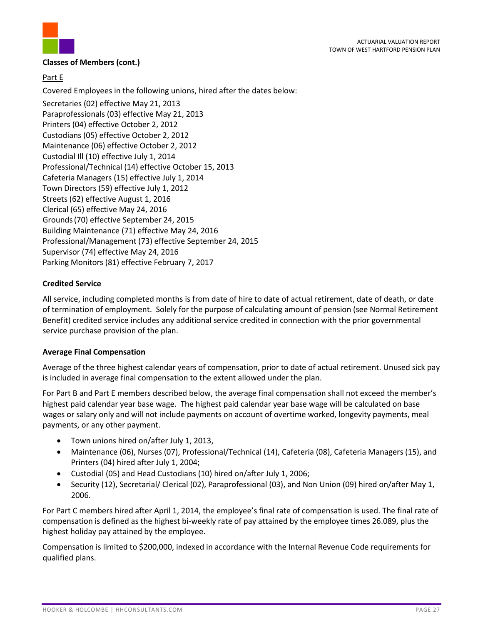

#### **Classes of Members (cont.)**

# Part E

Covered Employees in the following unions, hired after the dates below:

Secretaries (02) effective May 21, 2013 Paraprofessionals (03) effective May 21, 2013 Printers (04) effective October 2, 2012 Custodians (05) effective October 2, 2012 Maintenance (06) effective October 2, 2012 Custodial Ill (10) effective July 1, 2014 Professional/Technical (14) effective October 15, 2013 Cafeteria Managers (15) effective July 1, 2014 Town Directors (59) effective July 1, 2012 Streets (62) effective August 1, 2016 Clerical (65) effective May 24, 2016 Grounds(70) effective September 24, 2015 Building Maintenance (71) effective May 24, 2016 Professional/Management (73) effective September 24, 2015 Supervisor (74) effective May 24, 2016 Parking Monitors (81) effective February 7, 2017

# **Credited Service**

All service, including completed months is from date of hire to date of actual retirement, date of death, or date of termination of employment. Solely for the purpose of calculating amount of pension (see Normal Retirement Benefit) credited service includes any additional service credited in connection with the prior governmental service purchase provision of the plan.

# **Average Final Compensation**

Average of the three highest calendar years of compensation, prior to date of actual retirement. Unused sick pay is included in average final compensation to the extent allowed under the plan.

For Part B and Part E members described below, the average final compensation shall not exceed the member's highest paid calendar year base wage. The highest paid calendar year base wage will be calculated on base wages or salary only and will not include payments on account of overtime worked, longevity payments, meal payments, or any other payment.

- Town unions hired on/after July 1, 2013,
- Maintenance (06), Nurses (07), Professional/Technical (14), Cafeteria (08), Cafeteria Managers (15), and Printers (04) hired after July 1, 2004;
- Custodial (05) and Head Custodians (10) hired on/after July 1, 2006;
- Security (12), Secretarial/ Clerical (02), Paraprofessional (03), and Non Union (09) hired on/after May 1, 2006.

For Part C members hired after April 1, 2014, the employee's final rate of compensation is used. The final rate of compensation is defined as the highest bi-weekly rate of pay attained by the employee times 26.089, plus the highest holiday pay attained by the employee.

Compensation is limited to \$200,000, indexed in accordance with the Internal Revenue Code requirements for qualified plans.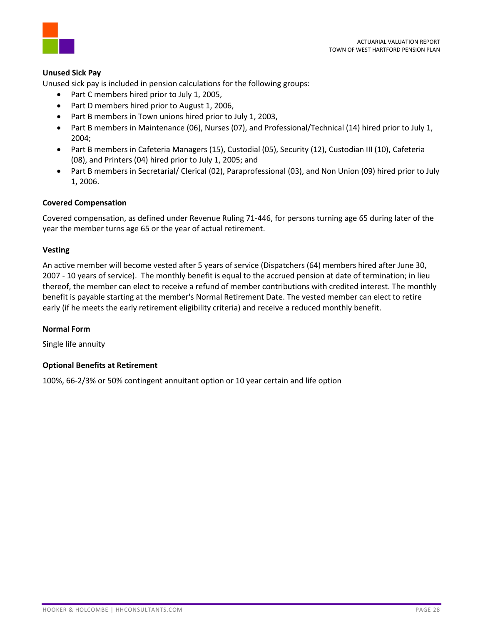



#### **Unused Sick Pay**

Unused sick pay is included in pension calculations for the following groups:

- Part C members hired prior to July 1, 2005,
- Part D members hired prior to August 1, 2006,
- Part B members in Town unions hired prior to July 1, 2003,
- Part B members in Maintenance (06), Nurses (07), and Professional/Technical (14) hired prior to July 1, 2004;
- Part B members in Cafeteria Managers (15), Custodial (05), Security (12), Custodian III (10), Cafeteria (08), and Printers (04) hired prior to July 1, 2005; and
- Part B members in Secretarial/ Clerical (02), Paraprofessional (03), and Non Union (09) hired prior to July 1, 2006.

#### **Covered Compensation**

Covered compensation, as defined under Revenue Ruling 71-446, for persons turning age 65 during later of the year the member turns age 65 or the year of actual retirement.

#### **Vesting**

An active member will become vested after 5 years of service (Dispatchers (64) members hired after June 30, 2007 - 10 years of service). The monthly benefit is equal to the accrued pension at date of termination; in lieu thereof, the member can elect to receive a refund of member contributions with credited interest. The monthly benefit is payable starting at the member's Normal Retirement Date. The vested member can elect to retire early (if he meets the early retirement eligibility criteria) and receive a reduced monthly benefit.

#### **Normal Form**

Single life annuity

#### **Optional Benefits at Retirement**

100%, 66-2/3% or 50% contingent annuitant option or 10 year certain and life option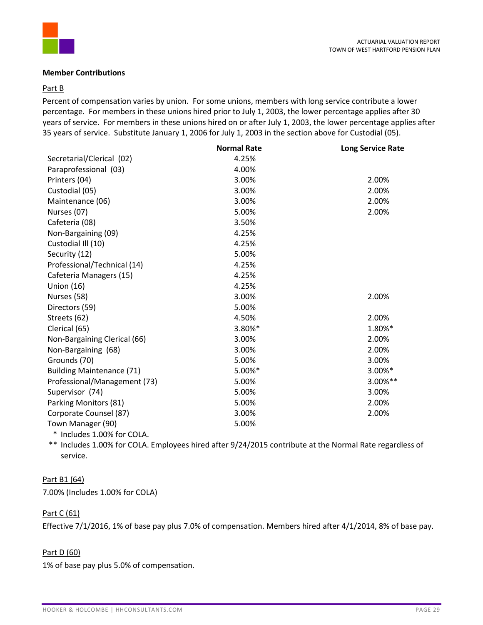

#### **Member Contributions**

#### Part B

Percent of compensation varies by union. For some unions, members with long service contribute a lower percentage. For members in these unions hired prior to July 1, 2003, the lower percentage applies after 30 years of service. For members in these unions hired on or after July 1, 2003, the lower percentage applies after 35 years of service. Substitute January 1, 2006 for July 1, 2003 in the section above for Custodial (05).

|                                                                                                                                                                                                                                                                                                                                                                                      | <b>Normal Rate</b> | <b>Long Service Rate</b> |
|--------------------------------------------------------------------------------------------------------------------------------------------------------------------------------------------------------------------------------------------------------------------------------------------------------------------------------------------------------------------------------------|--------------------|--------------------------|
| Secretarial/Clerical (02)                                                                                                                                                                                                                                                                                                                                                            | 4.25%              |                          |
| Paraprofessional (03)                                                                                                                                                                                                                                                                                                                                                                | 4.00%              |                          |
| Printers (04)                                                                                                                                                                                                                                                                                                                                                                        | 3.00%              | 2.00%                    |
| Custodial (05)                                                                                                                                                                                                                                                                                                                                                                       | 3.00%              | 2.00%                    |
| Maintenance (06)                                                                                                                                                                                                                                                                                                                                                                     | 3.00%              | 2.00%                    |
| Nurses (07)                                                                                                                                                                                                                                                                                                                                                                          | 5.00%              | 2.00%                    |
| Cafeteria (08)                                                                                                                                                                                                                                                                                                                                                                       | 3.50%              |                          |
| Non-Bargaining (09)                                                                                                                                                                                                                                                                                                                                                                  | 4.25%              |                          |
| Custodial III (10)                                                                                                                                                                                                                                                                                                                                                                   | 4.25%              |                          |
| Security (12)                                                                                                                                                                                                                                                                                                                                                                        | 5.00%              |                          |
| Professional/Technical (14)                                                                                                                                                                                                                                                                                                                                                          | 4.25%              |                          |
| Cafeteria Managers (15)                                                                                                                                                                                                                                                                                                                                                              | 4.25%              |                          |
| <b>Union (16)</b>                                                                                                                                                                                                                                                                                                                                                                    | 4.25%              |                          |
| Nurses (58)                                                                                                                                                                                                                                                                                                                                                                          | 3.00%              | 2.00%                    |
| Directors (59)                                                                                                                                                                                                                                                                                                                                                                       | 5.00%              |                          |
| Streets (62)                                                                                                                                                                                                                                                                                                                                                                         | 4.50%              | 2.00%                    |
| Clerical (65)                                                                                                                                                                                                                                                                                                                                                                        | 3.80%*             | 1.80%*                   |
| Non-Bargaining Clerical (66)                                                                                                                                                                                                                                                                                                                                                         | 3.00%              | 2.00%                    |
| Non-Bargaining (68)                                                                                                                                                                                                                                                                                                                                                                  | 3.00%              | 2.00%                    |
| Grounds (70)                                                                                                                                                                                                                                                                                                                                                                         | 5.00%              | 3.00%                    |
| <b>Building Maintenance (71)</b>                                                                                                                                                                                                                                                                                                                                                     | 5.00%*             | 3.00%*                   |
| Professional/Management (73)                                                                                                                                                                                                                                                                                                                                                         | 5.00%              | 3.00%**                  |
| Supervisor (74)                                                                                                                                                                                                                                                                                                                                                                      | 5.00%              | 3.00%                    |
| Parking Monitors (81)                                                                                                                                                                                                                                                                                                                                                                | 5.00%              | 2.00%                    |
| Corporate Counsel (87)                                                                                                                                                                                                                                                                                                                                                               | 3.00%              | 2.00%                    |
| Town Manager (90)                                                                                                                                                                                                                                                                                                                                                                    | 5.00%              |                          |
| $\overline{1}$ $\overline{1}$ $\overline{2}$ $\overline{2}$ $\overline{2}$ $\overline{2}$ $\overline{2}$ $\overline{2}$ $\overline{2}$ $\overline{2}$ $\overline{2}$ $\overline{2}$ $\overline{2}$ $\overline{2}$ $\overline{2}$ $\overline{2}$ $\overline{2}$ $\overline{2}$ $\overline{2}$ $\overline{2}$ $\overline{2}$ $\overline{2}$ $\overline{2}$ $\overline{2}$ $\overline{$ |                    |                          |

\* Includes 1.00% for COLA.

\*\* Includes 1.00% for COLA. Employees hired after 9/24/2015 contribute at the Normal Rate regardless of service.

# Part B1 (64)

7.00% (Includes 1.00% for COLA)

# Part C (61)

Effective 7/1/2016, 1% of base pay plus 7.0% of compensation. Members hired after 4/1/2014, 8% of base pay.

# Part D (60)

1% of base pay plus 5.0% of compensation.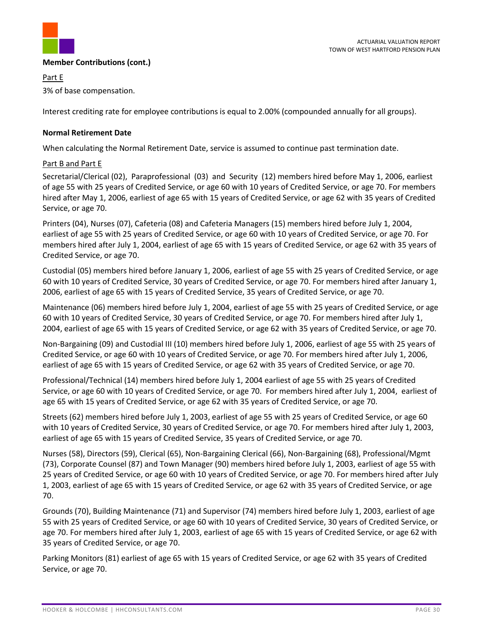

#### **Member Contributions (cont.)**

Part E 3% of base compensation.

Interest crediting rate for employee contributions is equal to 2.00% (compounded annually for all groups).

# **Normal Retirement Date**

When calculating the Normal Retirement Date, service is assumed to continue past termination date.

#### Part B and Part E

Secretarial/Clerical (02), Paraprofessional (03) and Security (12) members hired before May 1, 2006, earliest of age 55 with 25 years of Credited Service, or age 60 with 10 years of Credited Service, or age 70. For members hired after May 1, 2006, earliest of age 65 with 15 years of Credited Service, or age 62 with 35 years of Credited Service, or age 70.

Printers (04), Nurses (07), Cafeteria (08) and Cafeteria Managers (15) members hired before July 1, 2004, earliest of age 55 with 25 years of Credited Service, or age 60 with 10 years of Credited Service, or age 70. For members hired after July 1, 2004, earliest of age 65 with 15 years of Credited Service, or age 62 with 35 years of Credited Service, or age 70.

Custodial (05) members hired before January 1, 2006, earliest of age 55 with 25 years of Credited Service, or age 60 with 10 years of Credited Service, 30 years of Credited Service, or age 70. For members hired after January 1, 2006, earliest of age 65 with 15 years of Credited Service, 35 years of Credited Service, or age 70.

Maintenance (06) members hired before July 1, 2004, earliest of age 55 with 25 years of Credited Service, or age 60 with 10 years of Credited Service, 30 years of Credited Service, or age 70. For members hired after July 1, 2004, earliest of age 65 with 15 years of Credited Service, or age 62 with 35 years of Credited Service, or age 70.

Non-Bargaining (09) and Custodial III (10) members hired before July 1, 2006, earliest of age 55 with 25 years of Credited Service, or age 60 with 10 years of Credited Service, or age 70. For members hired after July 1, 2006, earliest of age 65 with 15 years of Credited Service, or age 62 with 35 years of Credited Service, or age 70.

Professional/Technical (14) members hired before July 1, 2004 earliest of age 55 with 25 years of Credited Service, or age 60 with 10 years of Credited Service, or age 70. For members hired after July 1, 2004, earliest of age 65 with 15 years of Credited Service, or age 62 with 35 years of Credited Service, or age 70.

Streets (62) members hired before July 1, 2003, earliest of age 55 with 25 years of Credited Service, or age 60 with 10 years of Credited Service, 30 years of Credited Service, or age 70. For members hired after July 1, 2003, earliest of age 65 with 15 years of Credited Service, 35 years of Credited Service, or age 70.

Nurses (58), Directors (59), Clerical (65), Non-Bargaining Clerical (66), Non-Bargaining (68), Professional/Mgmt (73), Corporate Counsel (87) and Town Manager (90) members hired before July 1, 2003, earliest of age 55 with 25 years of Credited Service, or age 60 with 10 years of Credited Service, or age 70. For members hired after July 1, 2003, earliest of age 65 with 15 years of Credited Service, or age 62 with 35 years of Credited Service, or age 70.

Grounds (70), Building Maintenance (71) and Supervisor (74) members hired before July 1, 2003, earliest of age 55 with 25 years of Credited Service, or age 60 with 10 years of Credited Service, 30 years of Credited Service, or age 70. For members hired after July 1, 2003, earliest of age 65 with 15 years of Credited Service, or age 62 with 35 years of Credited Service, or age 70.

Parking Monitors (81) earliest of age 65 with 15 years of Credited Service, or age 62 with 35 years of Credited Service, or age 70.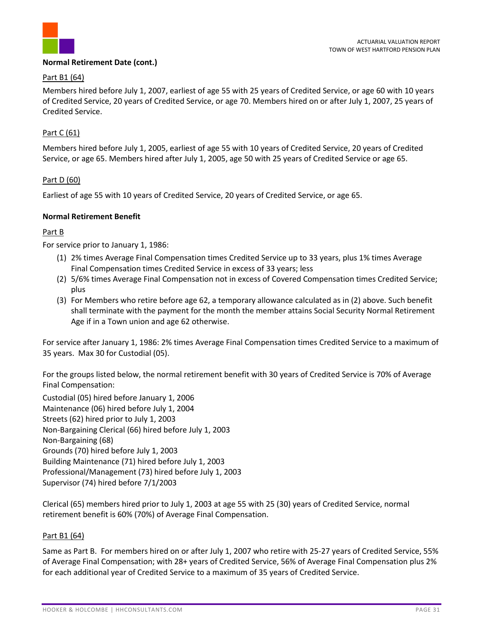

#### **Normal Retirement Date (cont.)**

#### Part B1 (64)

Members hired before July 1, 2007, earliest of age 55 with 25 years of Credited Service, or age 60 with 10 years of Credited Service, 20 years of Credited Service, or age 70. Members hired on or after July 1, 2007, 25 years of Credited Service.

# Part C (61)

Members hired before July 1, 2005, earliest of age 55 with 10 years of Credited Service, 20 years of Credited Service, or age 65. Members hired after July 1, 2005, age 50 with 25 years of Credited Service or age 65.

# Part D (60)

Earliest of age 55 with 10 years of Credited Service, 20 years of Credited Service, or age 65.

#### **Normal Retirement Benefit**

# Part B

For service prior to January 1, 1986:

- (1) 2% times Average Final Compensation times Credited Service up to 33 years, plus 1% times Average Final Compensation times Credited Service in excess of 33 years; less
- (2) 5/6% times Average Final Compensation not in excess of Covered Compensation times Credited Service; plus
- (3) For Members who retire before age 62, a temporary allowance calculated as in (2) above. Such benefit shall terminate with the payment for the month the member attains Social Security Normal Retirement Age if in a Town union and age 62 otherwise.

For service after January 1, 1986: 2% times Average Final Compensation times Credited Service to a maximum of 35 years. Max 30 for Custodial (05).

For the groups listed below, the normal retirement benefit with 30 years of Credited Service is 70% of Average Final Compensation:

Custodial (05) hired before January 1, 2006 Maintenance (06) hired before July 1, 2004 Streets (62) hired prior to July 1, 2003 Non-Bargaining Clerical (66) hired before July 1, 2003 Non-Bargaining (68) Grounds (70) hired before July 1, 2003 Building Maintenance (71) hired before July 1, 2003 Professional/Management (73) hired before July 1, 2003 Supervisor (74) hired before 7/1/2003

Clerical (65) members hired prior to July 1, 2003 at age 55 with 25 (30) years of Credited Service, normal retirement benefit is 60% (70%) of Average Final Compensation.

# Part B1 (64)

Same as Part B. For members hired on or after July 1, 2007 who retire with 25-27 years of Credited Service, 55% of Average Final Compensation; with 28+ years of Credited Service, 56% of Average Final Compensation plus 2% for each additional year of Credited Service to a maximum of 35 years of Credited Service.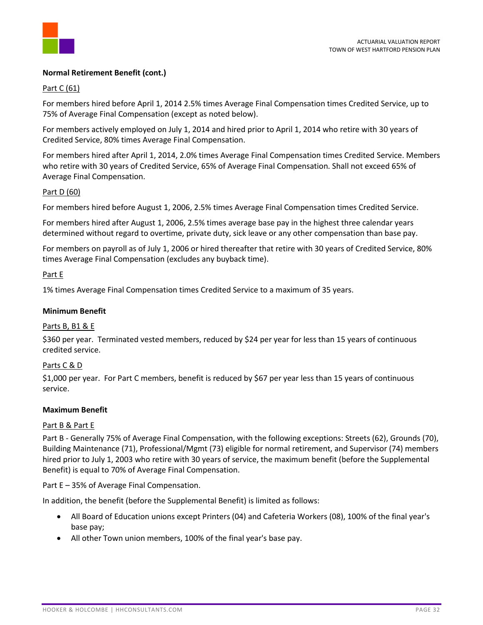

#### **Normal Retirement Benefit (cont.)**

# Part C (61)

For members hired before April 1, 2014 2.5% times Average Final Compensation times Credited Service, up to 75% of Average Final Compensation (except as noted below).

For members actively employed on July 1, 2014 and hired prior to April 1, 2014 who retire with 30 years of Credited Service, 80% times Average Final Compensation.

For members hired after April 1, 2014, 2.0% times Average Final Compensation times Credited Service. Members who retire with 30 years of Credited Service, 65% of Average Final Compensation. Shall not exceed 65% of Average Final Compensation.

#### Part D (60)

For members hired before August 1, 2006, 2.5% times Average Final Compensation times Credited Service.

For members hired after August 1, 2006, 2.5% times average base pay in the highest three calendar years determined without regard to overtime, private duty, sick leave or any other compensation than base pay.

For members on payroll as of July 1, 2006 or hired thereafter that retire with 30 years of Credited Service, 80% times Average Final Compensation (excludes any buyback time).

#### Part E

1% times Average Final Compensation times Credited Service to a maximum of 35 years.

#### **Minimum Benefit**

#### Parts B, B1 & E

\$360 per year. Terminated vested members, reduced by \$24 per year for less than 15 years of continuous credited service.

#### Parts C & D

\$1,000 per year. For Part C members, benefit is reduced by \$67 per year less than 15 years of continuous service.

#### **Maximum Benefit**

# Part B & Part E

Part B - Generally 75% of Average Final Compensation, with the following exceptions: Streets (62), Grounds (70), Building Maintenance (71), Professional/Mgmt (73) eligible for normal retirement, and Supervisor (74) members hired prior to July 1, 2003 who retire with 30 years of service, the maximum benefit (before the Supplemental Benefit) is equal to 70% of Average Final Compensation.

Part E – 35% of Average Final Compensation.

In addition, the benefit (before the Supplemental Benefit) is limited as follows:

- All Board of Education unions except Printers (04) and Cafeteria Workers (08), 100% of the final year's base pay;
- All other Town union members, 100% of the final year's base pay.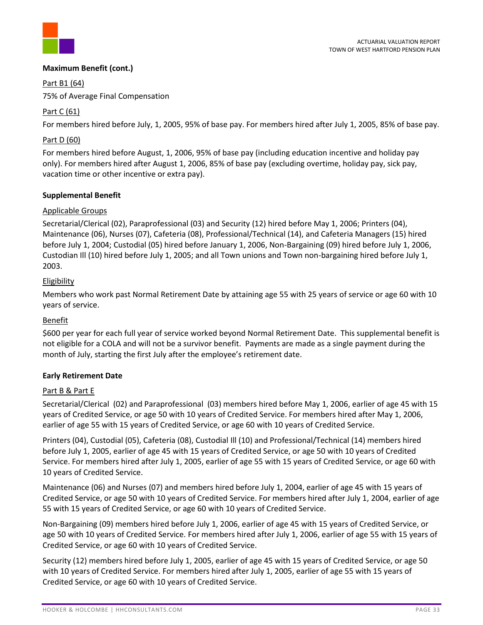

# **Maximum Benefit (cont.)**

Part B1 (64)

75% of Average Final Compensation

# Part C (61)

For members hired before July, 1, 2005, 95% of base pay. For members hired after July 1, 2005, 85% of base pay.

# Part D (60)

For members hired before August, 1, 2006, 95% of base pay (including education incentive and holiday pay only). For members hired after August 1, 2006, 85% of base pay (excluding overtime, holiday pay, sick pay, vacation time or other incentive or extra pay).

# **Supplemental Benefit**

# Applicable Groups

Secretarial/Clerical (02), Paraprofessional (03) and Security (12) hired before May 1, 2006; Printers (04), Maintenance (06), Nurses (07), Cafeteria (08), Professional/Technical (14), and Cafeteria Managers (15) hired before July 1, 2004; Custodial (05) hired before January 1, 2006, Non-Bargaining (09) hired before July 1, 2006, Custodian Ill (10) hired before July 1, 2005; and all Town unions and Town non-bargaining hired before July 1, 2003.

# **Eligibility**

Members who work past Normal Retirement Date by attaining age 55 with 25 years of service or age 60 with 10 years of service.

# Benefit

\$600 per year for each full year of service worked beyond Normal Retirement Date. This supplemental benefit is not eligible for a COLA and will not be a survivor benefit. Payments are made as a single payment during the month of July, starting the first July after the employee's retirement date.

# **Early Retirement Date**

# Part B & Part E

Secretarial/Clerical (02) and Paraprofessional (03) members hired before May 1, 2006, earlier of age 45 with 15 years of Credited Service, or age 50 with 10 years of Credited Service. For members hired after May 1, 2006, earlier of age 55 with 15 years of Credited Service, or age 60 with 10 years of Credited Service.

Printers (04), Custodial (05), Cafeteria (08), Custodial Ill (10) and Professional/Technical (14) members hired before July 1, 2005, earlier of age 45 with 15 years of Credited Service, or age 50 with 10 years of Credited Service. For members hired after July 1, 2005, earlier of age 55 with 15 years of Credited Service, or age 60 with 10 years of Credited Service.

Maintenance (06) and Nurses (07) and members hired before July 1, 2004, earlier of age 45 with 15 years of Credited Service, or age 50 with 10 years of Credited Service. For members hired after July 1, 2004, earlier of age 55 with 15 years of Credited Service, or age 60 with 10 years of Credited Service.

Non-Bargaining (09) members hired before July 1, 2006, earlier of age 45 with 15 years of Credited Service, or age 50 with 10 years of Credited Service. For members hired after July 1, 2006, earlier of age 55 with 15 years of Credited Service, or age 60 with 10 years of Credited Service.

Security (12) members hired before July 1, 2005, earlier of age 45 with 15 years of Credited Service, or age 50 with 10 years of Credited Service. For members hired after July 1, 2005, earlier of age 55 with 15 years of Credited Service, or age 60 with 10 years of Credited Service.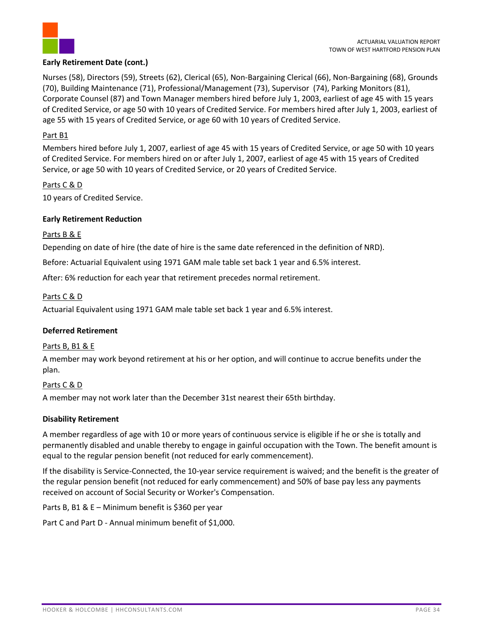

# **Early Retirement Date (cont.)**

Nurses (58), Directors (59), Streets (62), Clerical (65), Non-Bargaining Clerical (66), Non-Bargaining (68), Grounds (70), Building Maintenance (71), Professional/Management (73), Supervisor (74), Parking Monitors (81), Corporate Counsel (87) and Town Manager members hired before July 1, 2003, earliest of age 45 with 15 years of Credited Service, or age 50 with 10 years of Credited Service. For members hired after July 1, 2003, earliest of age 55 with 15 years of Credited Service, or age 60 with 10 years of Credited Service.

# Part B1

Members hired before July 1, 2007, earliest of age 45 with 15 years of Credited Service, or age 50 with 10 years of Credited Service. For members hired on or after July 1, 2007, earliest of age 45 with 15 years of Credited Service, or age 50 with 10 years of Credited Service, or 20 years of Credited Service.

# Parts C & D

10 years of Credited Service.

# **Early Retirement Reduction**

# Parts B & E

Depending on date of hire (the date of hire is the same date referenced in the definition of NRD).

Before: Actuarial Equivalent using 1971 GAM male table set back 1 year and 6.5% interest.

After: 6% reduction for each year that retirement precedes normal retirement.

# Parts C & D

Actuarial Equivalent using 1971 GAM male table set back 1 year and 6.5% interest.

# **Deferred Retirement**

# Parts B, B1 & E

A member may work beyond retirement at his or her option, and will continue to accrue benefits under the plan.

# Parts C & D

A member may not work later than the December 31st nearest their 65th birthday.

# **Disability Retirement**

A member regardless of age with 10 or more years of continuous service is eligible if he or she is totally and permanently disabled and unable thereby to engage in gainful occupation with the Town. The benefit amount is equal to the regular pension benefit (not reduced for early commencement).

If the disability is Service-Connected, the 10-year service requirement is waived; and the benefit is the greater of the regular pension benefit (not reduced for early commencement) and 50% of base pay less any payments received on account of Social Security or Worker's Compensation.

Parts B, B1 & E – Minimum benefit is \$360 per year

Part C and Part D - Annual minimum benefit of \$1,000.